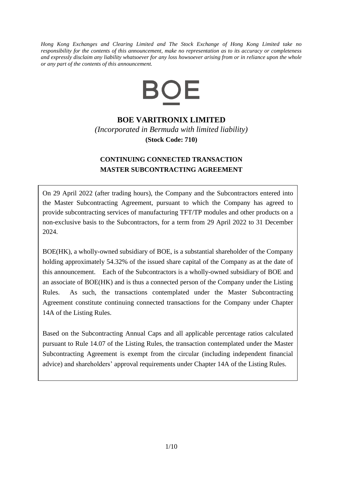*Hong Kong Exchanges and Clearing Limited and The Stock Exchange of Hong Kong Limited take no responsibility for the contents of this announcement, make no representation as to its accuracy or completeness and expressly disclaim any liability whatsoever for any loss howsoever arising from or in reliance upon the whole or any part of the contents of this announcement.*



## **BOE VARITRONIX LIMITED**

*(Incorporated in Bermuda with limited liability)* **(Stock Code: 710)**

## **CONTINUING CONNECTED TRANSACTION MASTER SUBCONTRACTING AGREEMENT**

On 29 April 2022 (after trading hours), the Company and the Subcontractors entered into the Master Subcontracting Agreement, pursuant to which the Company has agreed to provide subcontracting services of manufacturing TFT/TP modules and other products on a non-exclusive basis to the Subcontractors, for a term from 29 April 2022 to 31 December 2024.

BOE(HK), a wholly-owned subsidiary of BOE, is a substantial shareholder of the Company holding approximately 54.32% of the issued share capital of the Company as at the date of this announcement. Each of the Subcontractors is a wholly-owned subsidiary of BOE and an associate of BOE(HK) and is thus a connected person of the Company under the Listing Rules. As such, the transactions contemplated under the Master Subcontracting Agreement constitute continuing connected transactions for the Company under Chapter 14A of the Listing Rules.

Based on the Subcontracting Annual Caps and all applicable percentage ratios calculated pursuant to Rule 14.07 of the Listing Rules, the transaction contemplated under the Master Subcontracting Agreement is exempt from the circular (including independent financial advice) and shareholders' approval requirements under Chapter 14A of the Listing Rules.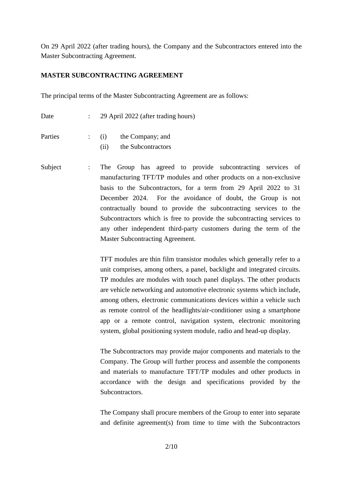On 29 April 2022 (after trading hours), the Company and the Subcontractors entered into the Master Subcontracting Agreement.

#### **MASTER SUBCONTRACTING AGREEMENT**

The principal terms of the Master Subcontracting Agreement are as follows:

| Date    |     | 29 April 2022 (after trading hours) |
|---------|-----|-------------------------------------|
| Parties | (i) | the Company; and                    |
|         | (i) | the Subcontractors                  |

Subject : The Group has agreed to provide subcontracting services of manufacturing TFT/TP modules and other products on a non-exclusive basis to the Subcontractors, for a term from 29 April 2022 to 31 December 2024. For the avoidance of doubt, the Group is not contractually bound to provide the subcontracting services to the Subcontractors which is free to provide the subcontracting services to any other independent third-party customers during the term of the Master Subcontracting Agreement.

> TFT modules are thin film transistor modules which generally refer to a unit comprises, among others, a panel, backlight and integrated circuits. TP modules are modules with touch panel displays. The other products are vehicle networking and automotive electronic systems which include, among others, electronic communications devices within a vehicle such as remote control of the headlights/air-conditioner using a smartphone app or a remote control, navigation system, electronic monitoring system, global positioning system module, radio and head-up display.

> The Subcontractors may provide major components and materials to the Company. The Group will further process and assemble the components and materials to manufacture TFT/TP modules and other products in accordance with the design and specifications provided by the Subcontractors.

> The Company shall procure members of the Group to enter into separate and definite agreement(s) from time to time with the Subcontractors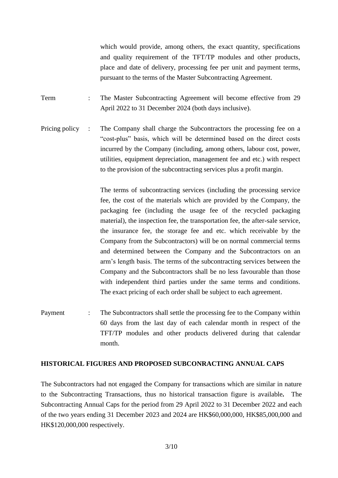which would provide, among others, the exact quantity, specifications and quality requirement of the TFT/TP modules and other products, place and date of delivery, processing fee per unit and payment terms, pursuant to the terms of the Master Subcontracting Agreement.

Term : The Master Subcontracting Agreement will become effective from 29 April 2022 to 31 December 2024 (both days inclusive).

Pricing policy : The Company shall charge the Subcontractors the processing fee on a "cost-plus" basis, which will be determined based on the direct costs incurred by the Company (including, among others, labour cost, power, utilities, equipment depreciation, management fee and etc.) with respect to the provision of the subcontracting services plus a profit margin.

> The terms of subcontracting services (including the processing service fee, the cost of the materials which are provided by the Company, the packaging fee (including the usage fee of the recycled packaging material), the inspection fee, the transportation fee, the after-sale service, the insurance fee, the storage fee and etc. which receivable by the Company from the Subcontractors) will be on normal commercial terms and determined between the Company and the Subcontractors on an arm's length basis. The terms of the subcontracting services between the Company and the Subcontractors shall be no less favourable than those with independent third parties under the same terms and conditions. The exact pricing of each order shall be subject to each agreement.

Payment : The Subcontractors shall settle the processing fee to the Company within 60 days from the last day of each calendar month in respect of the TFT/TP modules and other products delivered during that calendar month.

#### **HISTORICAL FIGURES AND PROPOSED SUBCONRACTING ANNUAL CAPS**

The Subcontractors had not engaged the Company for transactions which are similar in nature to the Subcontracting Transactions, thus no historical transaction figure is available*.* The Subcontracting Annual Caps for the period from 29 April 2022 to 31 December 2022 and each of the two years ending 31 December 2023 and 2024 are HK\$60,000,000, HK\$85,000,000 and HK\$120,000,000 respectively.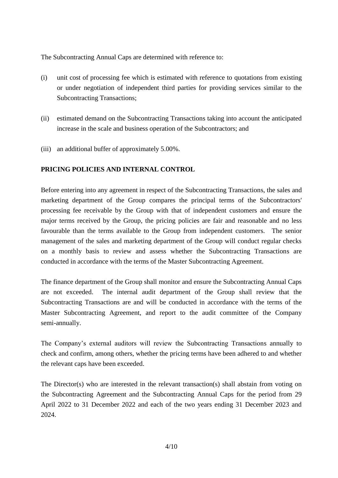The Subcontracting Annual Caps are determined with reference to:

- (i) unit cost of processing fee which is estimated with reference to quotations from existing or under negotiation of independent third parties for providing services similar to the Subcontracting Transactions;
- (ii) estimated demand on the Subcontracting Transactions taking into account the anticipated increase in the scale and business operation of the Subcontractors; and
- (iii) an additional buffer of approximately 5.00%.

### **PRICING POLICIES AND INTERNAL CONTROL**

Before entering into any agreement in respect of the Subcontracting Transactions, the sales and marketing department of the Group compares the principal terms of the Subcontractors' processing fee receivable by the Group with that of independent customers and ensure the major terms received by the Group, the pricing policies are fair and reasonable and no less favourable than the terms available to the Group from independent customers. The senior management of the sales and marketing department of the Group will conduct regular checks on a monthly basis to review and assess whether the Subcontracting Transactions are conducted in accordance with the terms of the Master Subcontracting Agreement.

The finance department of the Group shall monitor and ensure the Subcontracting Annual Caps are not exceeded. The internal audit department of the Group shall review that the Subcontracting Transactions are and will be conducted in accordance with the terms of the Master Subcontracting Agreement, and report to the audit committee of the Company semi-annually.

The Company's external auditors will review the Subcontracting Transactions annually to check and confirm, among others, whether the pricing terms have been adhered to and whether the relevant caps have been exceeded.

The Director(s) who are interested in the relevant transaction(s) shall abstain from voting on the Subcontracting Agreement and the Subcontracting Annual Caps for the period from 29 April 2022 to 31 December 2022 and each of the two years ending 31 December 2023 and 2024.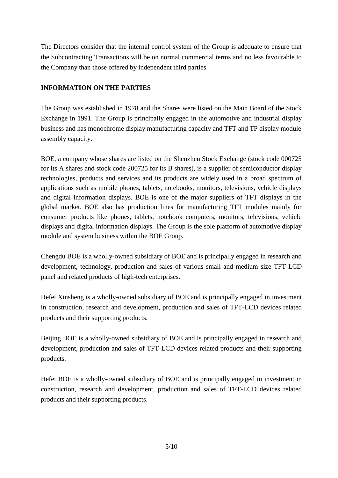The Directors consider that the internal control system of the Group is adequate to ensure that the Subcontracting Transactions will be on normal commercial terms and no less favourable to the Company than those offered by independent third parties.

### **INFORMATION ON THE PARTIES**

The Group was established in 1978 and the Shares were listed on the Main Board of the Stock Exchange in 1991. The Group is principally engaged in the automotive and industrial display business and has monochrome display manufacturing capacity and TFT and TP display module assembly capacity.

BOE, a company whose shares are listed on the Shenzhen Stock Exchange (stock code 000725 for its A shares and stock code 200725 for its B shares), is a supplier of semiconductor display technologies, products and services and its products are widely used in a broad spectrum of applications such as mobile phones, tablets, notebooks, monitors, televisions, vehicle displays and digital information displays. BOE is one of the major suppliers of TFT displays in the global market. BOE also has production lines for manufacturing TFT modules mainly for consumer products like phones, tablets, notebook computers, monitors, televisions, vehicle displays and digital information displays. The Group is the sole platform of automotive display module and system business within the BOE Group.

Chengdu BOE is a wholly-owned subsidiary of BOE and is principally engaged in research and development, technology, production and sales of various small and medium size TFT-LCD panel and related products of high-tech enterprises.

Hefei Xinsheng is a wholly-owned subsidiary of BOE and is principally engaged in investment in construction, research and development, production and sales of TFT-LCD devices related products and their supporting products.

Beijing BOE is a wholly-owned subsidiary of BOE and is principally engaged in research and development, production and sales of TFT-LCD devices related products and their supporting products.

Hefei BOE is a wholly-owned subsidiary of BOE and is principally engaged in investment in construction, research and development, production and sales of TFT-LCD devices related products and their supporting products.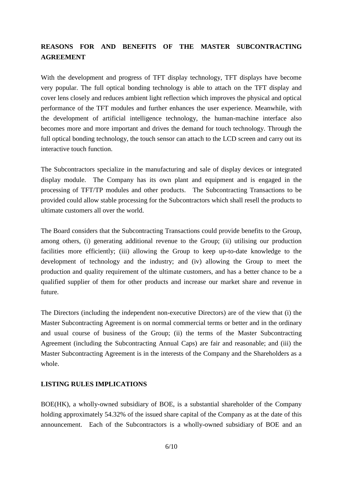# **REASONS FOR AND BENEFITS OF THE MASTER SUBCONTRACTING AGREEMENT**

With the development and progress of TFT display technology, TFT displays have become very popular. The full optical bonding technology is able to attach on the TFT display and cover lens closely and reduces ambient light reflection which improves the physical and optical performance of the TFT modules and further enhances the user experience. Meanwhile, with the development of artificial intelligence technology, the human-machine interface also becomes more and more important and drives the demand for touch technology. Through the full optical bonding technology, the touch sensor can attach to the LCD screen and carry out its interactive touch function.

The Subcontractors specialize in the manufacturing and sale of display devices or integrated display module. The Company has its own plant and equipment and is engaged in the processing of TFT/TP modules and other products. The Subcontracting Transactions to be provided could allow stable processing for the Subcontractors which shall resell the products to ultimate customers all over the world.

The Board considers that the Subcontracting Transactions could provide benefits to the Group, among others, (i) generating additional revenue to the Group; (ii) utilising our production facilities more efficiently; (iii) allowing the Group to keep up-to-date knowledge to the development of technology and the industry; and (iv) allowing the Group to meet the production and quality requirement of the ultimate customers, and has a better chance to be a qualified supplier of them for other products and increase our market share and revenue in future.

The Directors (including the independent non-executive Directors) are of the view that (i) the Master Subcontracting Agreement is on normal commercial terms or better and in the ordinary and usual course of business of the Group; (ii) the terms of the Master Subcontracting Agreement (including the Subcontracting Annual Caps) are fair and reasonable; and (iii) the Master Subcontracting Agreement is in the interests of the Company and the Shareholders as a whole.

#### **LISTING RULES IMPLICATIONS**

BOE(HK), a wholly-owned subsidiary of BOE, is a substantial shareholder of the Company holding approximately 54.32% of the issued share capital of the Company as at the date of this announcement. Each of the Subcontractors is a wholly-owned subsidiary of BOE and an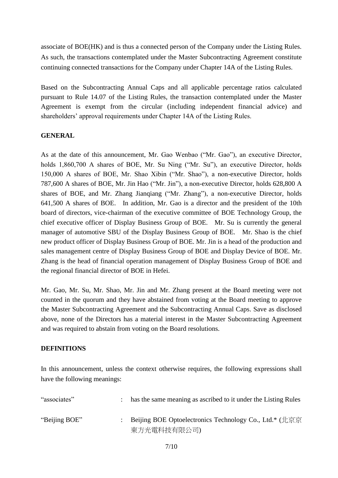associate of BOE(HK) and is thus a connected person of the Company under the Listing Rules. As such, the transactions contemplated under the Master Subcontracting Agreement constitute continuing connected transactions for the Company under Chapter 14A of the Listing Rules.

Based on the Subcontracting Annual Caps and all applicable percentage ratios calculated pursuant to Rule 14.07 of the Listing Rules, the transaction contemplated under the Master Agreement is exempt from the circular (including independent financial advice) and shareholders' approval requirements under Chapter 14A of the Listing Rules.

#### **GENERAL**

As at the date of this announcement, Mr. Gao Wenbao ("Mr. Gao"), an executive Director, holds 1,860,700 A shares of BOE, Mr. Su Ning ("Mr. Su"), an executive Director, holds 150,000 A shares of BOE, Mr. Shao Xibin ("Mr. Shao"), a non-executive Director, holds 787,600 A shares of BOE, Mr. Jin Hao ("Mr. Jin"), a non-executive Director, holds 628,800 A shares of BOE, and Mr. Zhang Jianqiang ("Mr. Zhang"), a non-executive Director, holds 641,500 A shares of BOE. In addition, Mr. Gao is a director and the president of the 10th board of directors, vice-chairman of the executive committee of BOE Technology Group, the chief executive officer of Display Business Group of BOE. Mr. Su is currently the general manager of automotive SBU of the Display Business Group of BOE. Mr. Shao is the chief new product officer of Display Business Group of BOE. Mr. Jin is a head of the production and sales management centre of Display Business Group of BOE and Display Device of BOE. Mr. Zhang is the head of financial operation management of Display Business Group of BOE and the regional financial director of BOE in Hefei.

Mr. Gao, Mr. Su, Mr. Shao, Mr. Jin and Mr. Zhang present at the Board meeting were not counted in the quorum and they have abstained from voting at the Board meeting to approve the Master Subcontracting Agreement and the Subcontracting Annual Caps. Save as disclosed above, none of the Directors has a material interest in the Master Subcontracting Agreement and was required to abstain from voting on the Board resolutions.

#### **DEFINITIONS**

In this announcement, unless the context otherwise requires, the following expressions shall have the following meanings:

| "associates"  | has the same meaning as ascribed to it under the Listing Rules |
|---------------|----------------------------------------------------------------|
| "Beijing BOE" | Beijing BOE Optoelectronics Technology Co., Ltd.* (北京京         |
|               | 東方光電科技有限公司)                                                    |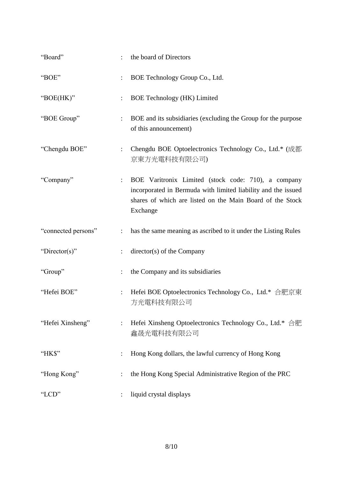| "Board"             | the board of Directors                                                                                                                                                                        |
|---------------------|-----------------------------------------------------------------------------------------------------------------------------------------------------------------------------------------------|
| "BOE"               | BOE Technology Group Co., Ltd.                                                                                                                                                                |
| "BOE(HK)"           | <b>BOE Technology (HK) Limited</b>                                                                                                                                                            |
| "BOE Group"         | BOE and its subsidiaries (excluding the Group for the purpose<br>of this announcement)                                                                                                        |
| "Chengdu BOE"       | Chengdu BOE Optoelectronics Technology Co., Ltd.* (成都<br>京東方光電科技有限公司)                                                                                                                         |
| "Company"           | BOE Varitronix Limited (stock code: 710), a company<br>incorporated in Bermuda with limited liability and the issued<br>shares of which are listed on the Main Board of the Stock<br>Exchange |
| "connected persons" | has the same meaning as ascribed to it under the Listing Rules                                                                                                                                |
| "Director(s)"       | director(s) of the Company                                                                                                                                                                    |
| "Group"             | the Company and its subsidiaries                                                                                                                                                              |
| "Hefei BOE"         | Hefei BOE Optoelectronics Technology Co., Ltd.* 合肥京東<br>方光電科技有限公司                                                                                                                             |
| "Hefei Xinsheng"    | Hefei Xinsheng Optoelectronics Technology Co., Ltd.* 合肥<br>鑫晟光電科技有限公司                                                                                                                         |
| "HK\$"              | Hong Kong dollars, the lawful currency of Hong Kong                                                                                                                                           |
| "Hong Kong"         | the Hong Kong Special Administrative Region of the PRC                                                                                                                                        |
| "LCD"               | liquid crystal displays                                                                                                                                                                       |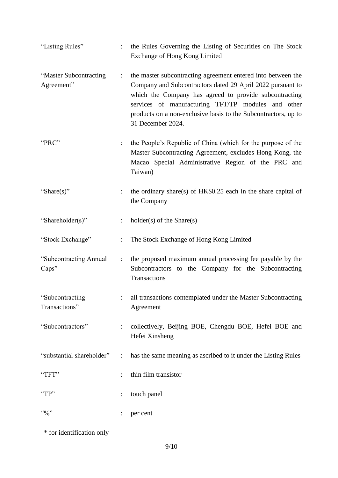| "Listing Rules"                      |                                      | the Rules Governing the Listing of Securities on The Stock<br>Exchange of Hong Kong Limited                                                                                                                                                                                                                                       |
|--------------------------------------|--------------------------------------|-----------------------------------------------------------------------------------------------------------------------------------------------------------------------------------------------------------------------------------------------------------------------------------------------------------------------------------|
| "Master Subcontracting<br>Agreement" | $\ddot{\phantom{a}}$                 | the master subcontracting agreement entered into between the<br>Company and Subcontractors dated 29 April 2022 pursuant to<br>which the Company has agreed to provide subcontracting<br>services of manufacturing TFT/TP modules and other<br>products on a non-exclusive basis to the Subcontractors, up to<br>31 December 2024. |
| "PRC"                                |                                      | the People's Republic of China (which for the purpose of the<br>Master Subcontracting Agreement, excludes Hong Kong, the<br>Macao Special Administrative Region of the PRC and<br>Taiwan)                                                                                                                                         |
| "Share(s)"                           |                                      | the ordinary share(s) of HK\$0.25 each in the share capital of<br>the Company                                                                                                                                                                                                                                                     |
| "Shareholder(s)"                     |                                      | $holder(s)$ of the Share $(s)$                                                                                                                                                                                                                                                                                                    |
| "Stock Exchange"                     |                                      | The Stock Exchange of Hong Kong Limited                                                                                                                                                                                                                                                                                           |
| "Subcontracting Annual<br>Caps"      | $\ddot{\ddot{\phantom{}}\phantom{}}$ | the proposed maximum annual processing fee payable by the<br>Subcontractors to the Company for the Subcontracting<br>Transactions                                                                                                                                                                                                 |
| "Subcontracting"<br>Transactions"    |                                      | : all transactions contemplated under the Master Subcontracting<br>Agreement                                                                                                                                                                                                                                                      |
| "Subcontractors"                     | $\ddot{\phantom{a}}$                 | collectively, Beijing BOE, Chengdu BOE, Hefei BOE and<br>Hefei Xinsheng                                                                                                                                                                                                                                                           |
| "substantial shareholder"            | $\ddot{\phantom{a}}$                 | has the same meaning as ascribed to it under the Listing Rules                                                                                                                                                                                                                                                                    |
| "TFT"                                |                                      | thin film transistor                                                                                                                                                                                                                                                                                                              |
| "TP"                                 |                                      | touch panel                                                                                                                                                                                                                                                                                                                       |
| $\cdot \cdot \cdot \cdot \cdot$      |                                      | per cent                                                                                                                                                                                                                                                                                                                          |

\* for identification only